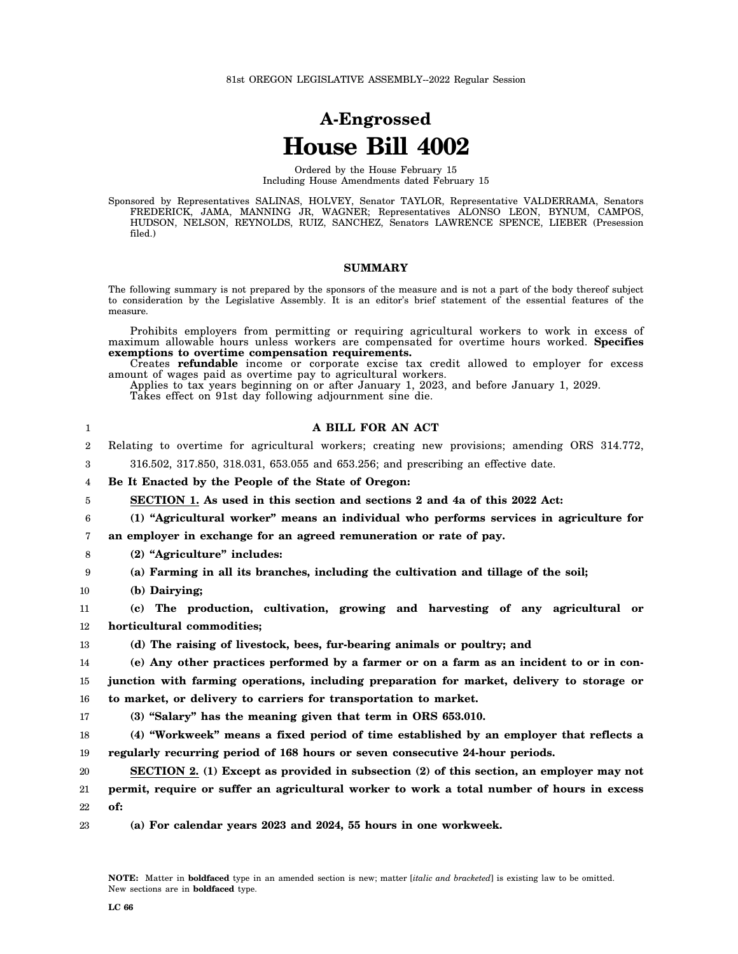# **A-Engrossed House Bill 4002**

Ordered by the House February 15 Including House Amendments dated February 15

Sponsored by Representatives SALINAS, HOLVEY, Senator TAYLOR, Representative VALDERRAMA, Senators FREDERICK, JAMA, MANNING JR, WAGNER; Representatives ALONSO LEON, BYNUM, CAMPOS, HUDSON, NELSON, REYNOLDS, RUIZ, SANCHEZ, Senators LAWRENCE SPENCE, LIEBER (Presession filed.)

### **SUMMARY**

The following summary is not prepared by the sponsors of the measure and is not a part of the body thereof subject to consideration by the Legislative Assembly. It is an editor's brief statement of the essential features of the measure.

Prohibits employers from permitting or requiring agricultural workers to work in excess of maximum allowable hours unless workers are compensated for overtime hours worked. **Specifies exemptions to overtime compensation requirements.**

Creates **refundable** income or corporate excise tax credit allowed to employer for excess amount of wages paid as overtime pay to agricultural workers.

Applies to tax years beginning on or after January 1, 2023, and before January 1, 2029. Takes effect on 91st day following adjournment sine die.

| 1                | A BILL FOR AN ACT                                                                               |
|------------------|-------------------------------------------------------------------------------------------------|
| $\boldsymbol{2}$ | Relating to overtime for agricultural workers; creating new provisions; amending ORS 314.772,   |
| 3                | 316.502, 317.850, 318.031, 653.055 and 653.256; and prescribing an effective date.              |
| 4                | Be It Enacted by the People of the State of Oregon:                                             |
| 5                | SECTION 1. As used in this section and sections 2 and 4a of this 2022 Act:                      |
| 6                | (1) "Agricultural worker" means an individual who performs services in agriculture for          |
| 7                | an employer in exchange for an agreed remuneration or rate of pay.                              |
| 8                | (2) "Agriculture" includes:                                                                     |
| 9                | (a) Farming in all its branches, including the cultivation and tillage of the soil;             |
| 10               | (b) Dairying;                                                                                   |
| 11               | (c) The production, cultivation, growing and harvesting of any agricultural or                  |
| 12               | horticultural commodities;                                                                      |
| 13               | (d) The raising of livestock, bees, fur-bearing animals or poultry; and                         |
| 14               | (e) Any other practices performed by a farmer or on a farm as an incident to or in con-         |
| 15               | junction with farming operations, including preparation for market, delivery to storage or      |
| 16               | to market, or delivery to carriers for transportation to market.                                |
| 17               | (3) "Salary" has the meaning given that term in ORS 653.010.                                    |
| 18               | (4) "Workweek" means a fixed period of time established by an employer that reflects a          |
| 19               | regularly recurring period of 168 hours or seven consecutive 24-hour periods.                   |
| 20               | <b>SECTION 2.</b> (1) Except as provided in subsection (2) of this section, an employer may not |
| 21               | permit, require or suffer an agricultural worker to work a total number of hours in excess      |
| 22               | of:                                                                                             |
| 23               | (a) For calendar years 2023 and 2024, 55 hours in one workweek.                                 |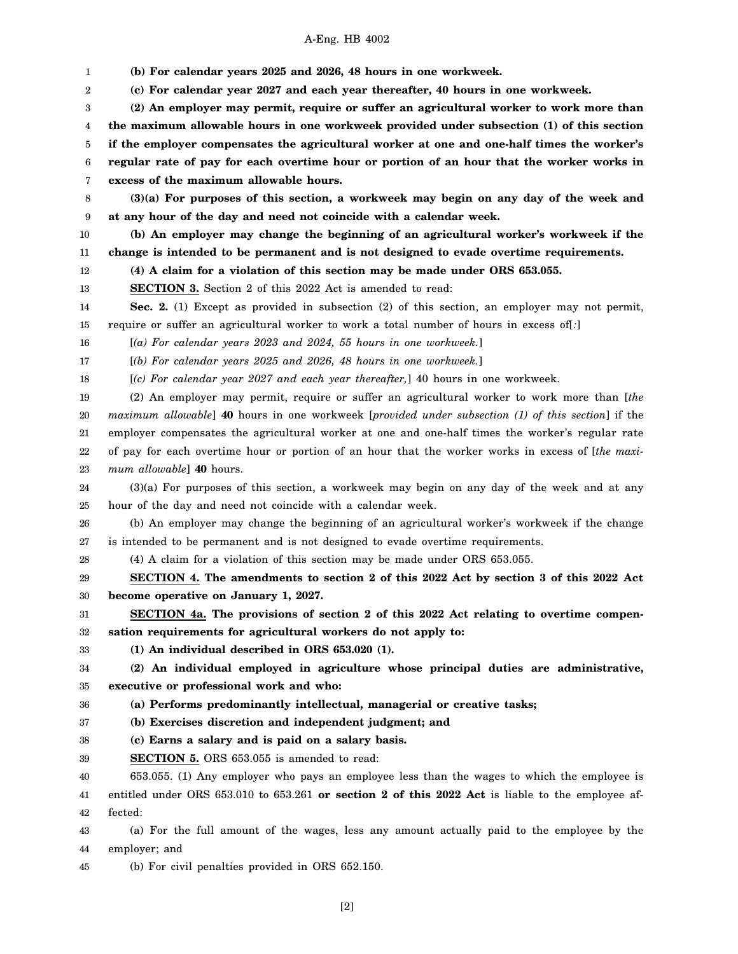1 2 3 4 5 6 7 8 9 10 11 12 13 14 15 16 17 18 19 20 21 22 23 24 25 26 27 28 29 30 31 32 33 34 35 36 37 38 39 40 41 42 43 44 45 **(b) For calendar years 2025 and 2026, 48 hours in one workweek. (c) For calendar year 2027 and each year thereafter, 40 hours in one workweek. (2) An employer may permit, require or suffer an agricultural worker to work more than the maximum allowable hours in one workweek provided under subsection (1) of this section if the employer compensates the agricultural worker at one and one-half times the worker's regular rate of pay for each overtime hour or portion of an hour that the worker works in excess of the maximum allowable hours. (3)(a) For purposes of this section, a workweek may begin on any day of the week and at any hour of the day and need not coincide with a calendar week. (b) An employer may change the beginning of an agricultural worker's workweek if the change is intended to be permanent and is not designed to evade overtime requirements. (4) A claim for a violation of this section may be made under ORS 653.055. SECTION 3.** Section 2 of this 2022 Act is amended to read: **Sec. 2.** (1) Except as provided in subsection (2) of this section, an employer may not permit, require or suffer an agricultural worker to work a total number of hours in excess of[*:*] [*(a) For calendar years 2023 and 2024, 55 hours in one workweek.*] [*(b) For calendar years 2025 and 2026, 48 hours in one workweek.*] [*(c) For calendar year 2027 and each year thereafter,*] 40 hours in one workweek. (2) An employer may permit, require or suffer an agricultural worker to work more than [*the maximum allowable*] **40** hours in one workweek [*provided under subsection (1) of this section*] if the employer compensates the agricultural worker at one and one-half times the worker's regular rate of pay for each overtime hour or portion of an hour that the worker works in excess of [*the maximum allowable*] **40** hours. (3)(a) For purposes of this section, a workweek may begin on any day of the week and at any hour of the day and need not coincide with a calendar week. (b) An employer may change the beginning of an agricultural worker's workweek if the change is intended to be permanent and is not designed to evade overtime requirements. (4) A claim for a violation of this section may be made under ORS 653.055. **SECTION 4. The amendments to section 2 of this 2022 Act by section 3 of this 2022 Act become operative on January 1, 2027. SECTION 4a. The provisions of section 2 of this 2022 Act relating to overtime compensation requirements for agricultural workers do not apply to: (1) An individual described in ORS 653.020 (1). (2) An individual employed in agriculture whose principal duties are administrative, executive or professional work and who: (a) Performs predominantly intellectual, managerial or creative tasks; (b) Exercises discretion and independent judgment; and (c) Earns a salary and is paid on a salary basis. SECTION 5.** ORS 653.055 is amended to read: 653.055. (1) Any employer who pays an employee less than the wages to which the employee is entitled under ORS 653.010 to 653.261 **or section 2 of this 2022 Act** is liable to the employee affected: (a) For the full amount of the wages, less any amount actually paid to the employee by the employer; and (b) For civil penalties provided in ORS 652.150.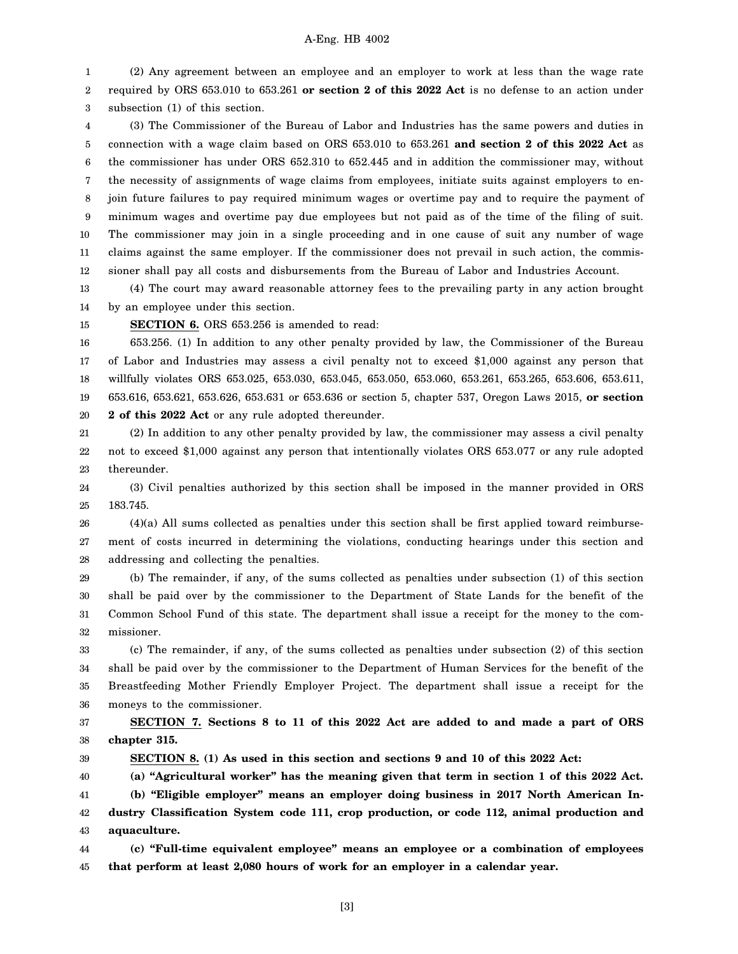1 2 3 (2) Any agreement between an employee and an employer to work at less than the wage rate required by ORS 653.010 to 653.261 **or section 2 of this 2022 Act** is no defense to an action under subsection (1) of this section.

4 5 6 7 8 9 10 11 12 (3) The Commissioner of the Bureau of Labor and Industries has the same powers and duties in connection with a wage claim based on ORS 653.010 to 653.261 **and section 2 of this 2022 Act** as the commissioner has under ORS 652.310 to 652.445 and in addition the commissioner may, without the necessity of assignments of wage claims from employees, initiate suits against employers to enjoin future failures to pay required minimum wages or overtime pay and to require the payment of minimum wages and overtime pay due employees but not paid as of the time of the filing of suit. The commissioner may join in a single proceeding and in one cause of suit any number of wage claims against the same employer. If the commissioner does not prevail in such action, the commissioner shall pay all costs and disbursements from the Bureau of Labor and Industries Account.

13 14 (4) The court may award reasonable attorney fees to the prevailing party in any action brought by an employee under this section.

15

**SECTION 6.** ORS 653.256 is amended to read:

16 17 18 19 20 653.256. (1) In addition to any other penalty provided by law, the Commissioner of the Bureau of Labor and Industries may assess a civil penalty not to exceed \$1,000 against any person that willfully violates ORS 653.025, 653.030, 653.045, 653.050, 653.060, 653.261, 653.265, 653.606, 653.611, 653.616, 653.621, 653.626, 653.631 or 653.636 or section 5, chapter 537, Oregon Laws 2015, **or section 2 of this 2022 Act** or any rule adopted thereunder.

21 22 23 (2) In addition to any other penalty provided by law, the commissioner may assess a civil penalty not to exceed \$1,000 against any person that intentionally violates ORS 653.077 or any rule adopted thereunder.

24 25 (3) Civil penalties authorized by this section shall be imposed in the manner provided in ORS 183.745.

26 27 28 (4)(a) All sums collected as penalties under this section shall be first applied toward reimbursement of costs incurred in determining the violations, conducting hearings under this section and addressing and collecting the penalties.

29 30 31 32 (b) The remainder, if any, of the sums collected as penalties under subsection (1) of this section shall be paid over by the commissioner to the Department of State Lands for the benefit of the Common School Fund of this state. The department shall issue a receipt for the money to the commissioner.

33 34 35 36 (c) The remainder, if any, of the sums collected as penalties under subsection (2) of this section shall be paid over by the commissioner to the Department of Human Services for the benefit of the Breastfeeding Mother Friendly Employer Project. The department shall issue a receipt for the moneys to the commissioner.

37 38 **SECTION 7. Sections 8 to 11 of this 2022 Act are added to and made a part of ORS chapter 315.**

39

**SECTION 8. (1) As used in this section and sections 9 and 10 of this 2022 Act:**

40 **(a) "Agricultural worker" has the meaning given that term in section 1 of this 2022 Act.**

41 42 43 **(b) "Eligible employer" means an employer doing business in 2017 North American Industry Classification System code 111, crop production, or code 112, animal production and aquaculture.**

44 45 **(c) "Full-time equivalent employee" means an employee or a combination of employees that perform at least 2,080 hours of work for an employer in a calendar year.**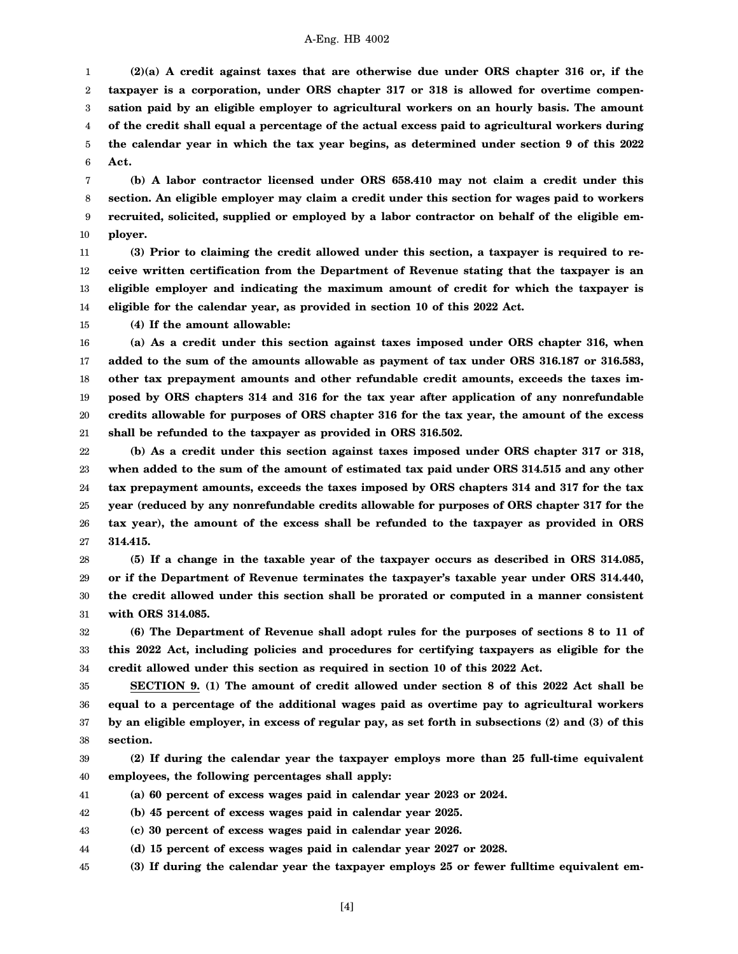1 2 3 4 5 6 **(2)(a) A credit against taxes that are otherwise due under ORS chapter 316 or, if the taxpayer is a corporation, under ORS chapter 317 or 318 is allowed for overtime compensation paid by an eligible employer to agricultural workers on an hourly basis. The amount of the credit shall equal a percentage of the actual excess paid to agricultural workers during the calendar year in which the tax year begins, as determined under section 9 of this 2022 Act.**

7 8 9 10 **(b) A labor contractor licensed under ORS 658.410 may not claim a credit under this section. An eligible employer may claim a credit under this section for wages paid to workers recruited, solicited, supplied or employed by a labor contractor on behalf of the eligible employer.**

11 12 13 14 **(3) Prior to claiming the credit allowed under this section, a taxpayer is required to receive written certification from the Department of Revenue stating that the taxpayer is an eligible employer and indicating the maximum amount of credit for which the taxpayer is eligible for the calendar year, as provided in section 10 of this 2022 Act.**

15 **(4) If the amount allowable:**

16 17 18 19 20 21 **(a) As a credit under this section against taxes imposed under ORS chapter 316, when added to the sum of the amounts allowable as payment of tax under ORS 316.187 or 316.583, other tax prepayment amounts and other refundable credit amounts, exceeds the taxes imposed by ORS chapters 314 and 316 for the tax year after application of any nonrefundable credits allowable for purposes of ORS chapter 316 for the tax year, the amount of the excess shall be refunded to the taxpayer as provided in ORS 316.502.**

22 23 24 25 26 27 **(b) As a credit under this section against taxes imposed under ORS chapter 317 or 318, when added to the sum of the amount of estimated tax paid under ORS 314.515 and any other tax prepayment amounts, exceeds the taxes imposed by ORS chapters 314 and 317 for the tax year (reduced by any nonrefundable credits allowable for purposes of ORS chapter 317 for the tax year), the amount of the excess shall be refunded to the taxpayer as provided in ORS 314.415.**

28 29 30 31 **(5) If a change in the taxable year of the taxpayer occurs as described in ORS 314.085, or if the Department of Revenue terminates the taxpayer's taxable year under ORS 314.440, the credit allowed under this section shall be prorated or computed in a manner consistent with ORS 314.085.**

32 33 34 **(6) The Department of Revenue shall adopt rules for the purposes of sections 8 to 11 of this 2022 Act, including policies and procedures for certifying taxpayers as eligible for the credit allowed under this section as required in section 10 of this 2022 Act.**

35 36 37 38 **SECTION 9. (1) The amount of credit allowed under section 8 of this 2022 Act shall be equal to a percentage of the additional wages paid as overtime pay to agricultural workers by an eligible employer, in excess of regular pay, as set forth in subsections (2) and (3) of this section.**

39 40 **(2) If during the calendar year the taxpayer employs more than 25 full-time equivalent employees, the following percentages shall apply:**

41 **(a) 60 percent of excess wages paid in calendar year 2023 or 2024.**

42 **(b) 45 percent of excess wages paid in calendar year 2025.**

43 **(c) 30 percent of excess wages paid in calendar year 2026.**

44 **(d) 15 percent of excess wages paid in calendar year 2027 or 2028.**

45 **(3) If during the calendar year the taxpayer employs 25 or fewer fulltime equivalent em-**

[4]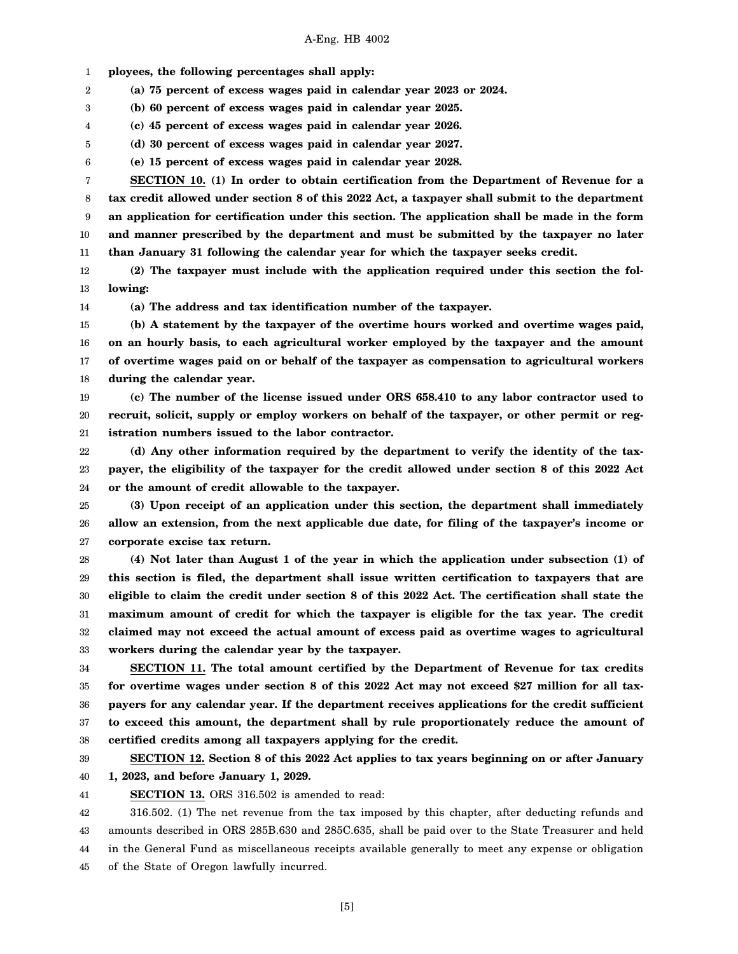1 **ployees, the following percentages shall apply:**

2 **(a) 75 percent of excess wages paid in calendar year 2023 or 2024.**

3 **(b) 60 percent of excess wages paid in calendar year 2025.**

4 **(c) 45 percent of excess wages paid in calendar year 2026.**

5 **(d) 30 percent of excess wages paid in calendar year 2027.**

6 **(e) 15 percent of excess wages paid in calendar year 2028.**

7 8 9 10 11 **SECTION 10. (1) In order to obtain certification from the Department of Revenue for a tax credit allowed under section 8 of this 2022 Act, a taxpayer shall submit to the department an application for certification under this section. The application shall be made in the form and manner prescribed by the department and must be submitted by the taxpayer no later than January 31 following the calendar year for which the taxpayer seeks credit.**

12 13 **(2) The taxpayer must include with the application required under this section the following:**

14

**(a) The address and tax identification number of the taxpayer.**

15 16 17 18 **(b) A statement by the taxpayer of the overtime hours worked and overtime wages paid, on an hourly basis, to each agricultural worker employed by the taxpayer and the amount of overtime wages paid on or behalf of the taxpayer as compensation to agricultural workers during the calendar year.**

19 20 21 **(c) The number of the license issued under ORS 658.410 to any labor contractor used to recruit, solicit, supply or employ workers on behalf of the taxpayer, or other permit or registration numbers issued to the labor contractor.**

22 23 24 **(d) Any other information required by the department to verify the identity of the taxpayer, the eligibility of the taxpayer for the credit allowed under section 8 of this 2022 Act or the amount of credit allowable to the taxpayer.**

25 26 27 **(3) Upon receipt of an application under this section, the department shall immediately allow an extension, from the next applicable due date, for filing of the taxpayer's income or corporate excise tax return.**

28 29 30 31 32 33 **(4) Not later than August 1 of the year in which the application under subsection (1) of this section is filed, the department shall issue written certification to taxpayers that are eligible to claim the credit under section 8 of this 2022 Act. The certification shall state the maximum amount of credit for which the taxpayer is eligible for the tax year. The credit claimed may not exceed the actual amount of excess paid as overtime wages to agricultural workers during the calendar year by the taxpayer.**

34 35 36 37 38 **SECTION 11. The total amount certified by the Department of Revenue for tax credits for overtime wages under section 8 of this 2022 Act may not exceed \$27 million for all taxpayers for any calendar year. If the department receives applications for the credit sufficient to exceed this amount, the department shall by rule proportionately reduce the amount of certified credits among all taxpayers applying for the credit.**

39 40 **SECTION 12. Section 8 of this 2022 Act applies to tax years beginning on or after January 1, 2023, and before January 1, 2029.**

41

**SECTION 13.** ORS 316.502 is amended to read:

42 43 44 45 316.502. (1) The net revenue from the tax imposed by this chapter, after deducting refunds and amounts described in ORS 285B.630 and 285C.635, shall be paid over to the State Treasurer and held in the General Fund as miscellaneous receipts available generally to meet any expense or obligation of the State of Oregon lawfully incurred.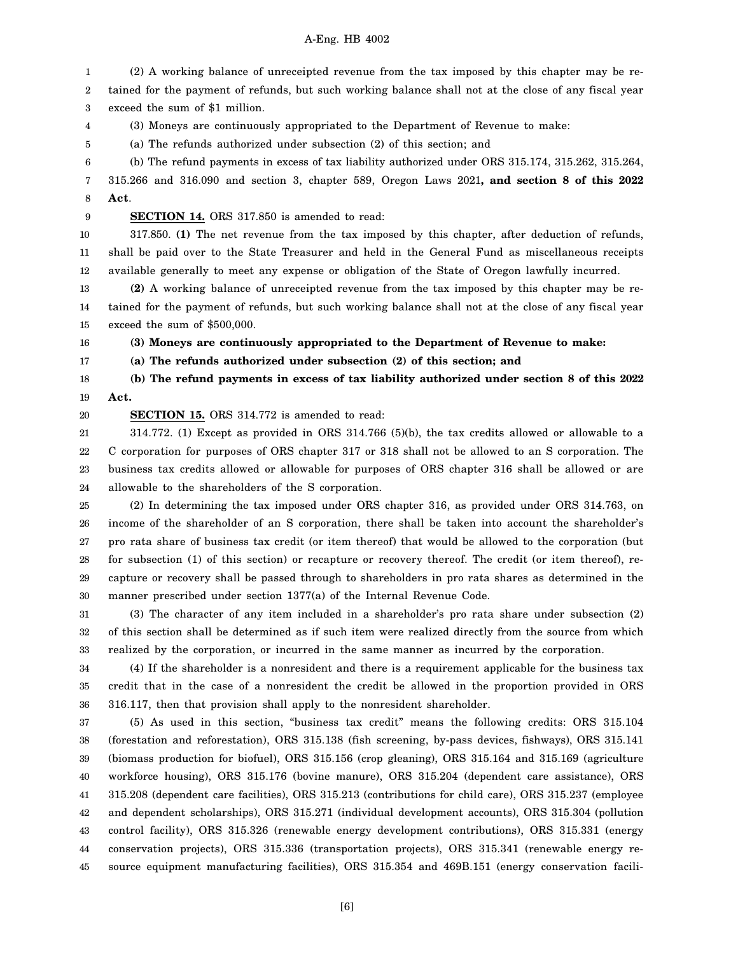1 2 3 4 5 6 7 8 9 10 11 12 13 14 (2) A working balance of unreceipted revenue from the tax imposed by this chapter may be retained for the payment of refunds, but such working balance shall not at the close of any fiscal year exceed the sum of \$1 million. (3) Moneys are continuously appropriated to the Department of Revenue to make: (a) The refunds authorized under subsection (2) of this section; and (b) The refund payments in excess of tax liability authorized under ORS 315.174, 315.262, 315.264, 315.266 and 316.090 and section 3, chapter 589, Oregon Laws 2021**, and section 8 of this 2022 Act**. **SECTION 14.** ORS 317.850 is amended to read: 317.850. **(1)** The net revenue from the tax imposed by this chapter, after deduction of refunds, shall be paid over to the State Treasurer and held in the General Fund as miscellaneous receipts available generally to meet any expense or obligation of the State of Oregon lawfully incurred. **(2)** A working balance of unreceipted revenue from the tax imposed by this chapter may be retained for the payment of refunds, but such working balance shall not at the close of any fiscal year

15 exceed the sum of \$500,000.

16

17

**(3) Moneys are continuously appropriated to the Department of Revenue to make:**

**(a) The refunds authorized under subsection (2) of this section; and**

18 19 **(b) The refund payments in excess of tax liability authorized under section 8 of this 2022 Act.**

20

**SECTION 15.** ORS 314.772 is amended to read:

21 22 23 24 314.772. (1) Except as provided in ORS 314.766 (5)(b), the tax credits allowed or allowable to a C corporation for purposes of ORS chapter 317 or 318 shall not be allowed to an S corporation. The business tax credits allowed or allowable for purposes of ORS chapter 316 shall be allowed or are allowable to the shareholders of the S corporation.

25 26 27 28 29 30 (2) In determining the tax imposed under ORS chapter 316, as provided under ORS 314.763, on income of the shareholder of an S corporation, there shall be taken into account the shareholder's pro rata share of business tax credit (or item thereof) that would be allowed to the corporation (but for subsection (1) of this section) or recapture or recovery thereof. The credit (or item thereof), recapture or recovery shall be passed through to shareholders in pro rata shares as determined in the manner prescribed under section 1377(a) of the Internal Revenue Code.

31 32 33 (3) The character of any item included in a shareholder's pro rata share under subsection (2) of this section shall be determined as if such item were realized directly from the source from which realized by the corporation, or incurred in the same manner as incurred by the corporation.

34 35 36 (4) If the shareholder is a nonresident and there is a requirement applicable for the business tax credit that in the case of a nonresident the credit be allowed in the proportion provided in ORS 316.117, then that provision shall apply to the nonresident shareholder.

37 38 39 40 41 42 43 44 45 (5) As used in this section, "business tax credit" means the following credits: ORS 315.104 (forestation and reforestation), ORS 315.138 (fish screening, by-pass devices, fishways), ORS 315.141 (biomass production for biofuel), ORS 315.156 (crop gleaning), ORS 315.164 and 315.169 (agriculture workforce housing), ORS 315.176 (bovine manure), ORS 315.204 (dependent care assistance), ORS 315.208 (dependent care facilities), ORS 315.213 (contributions for child care), ORS 315.237 (employee and dependent scholarships), ORS 315.271 (individual development accounts), ORS 315.304 (pollution control facility), ORS 315.326 (renewable energy development contributions), ORS 315.331 (energy conservation projects), ORS 315.336 (transportation projects), ORS 315.341 (renewable energy resource equipment manufacturing facilities), ORS 315.354 and 469B.151 (energy conservation facili-